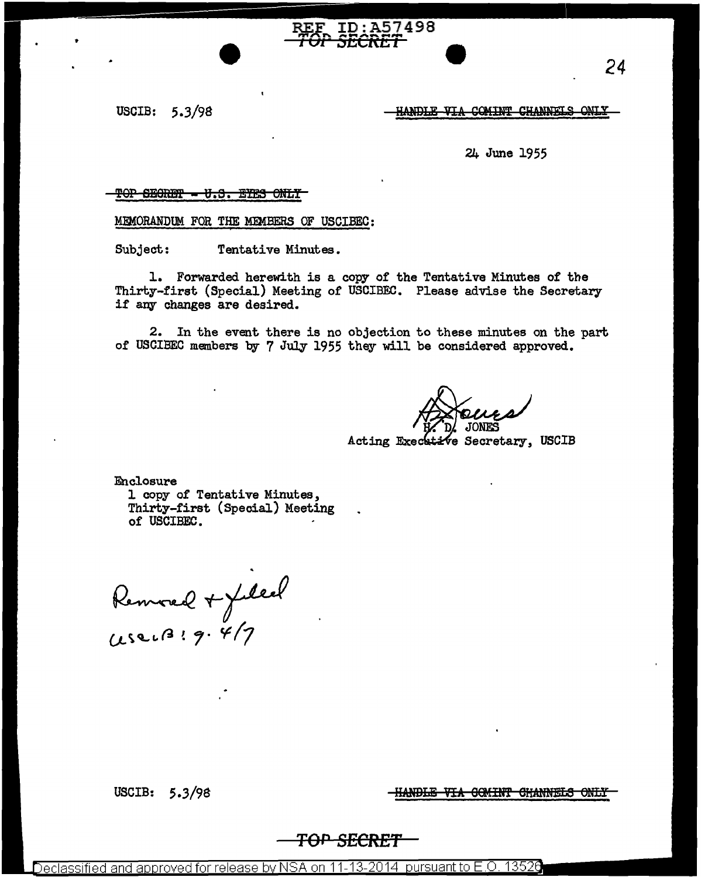USCIB:  $5.3/98$ 

<u>HANDLE VIA COMINT CHANNELS ONLY</u>

24 June 1955

#### TOP SECRET - U.S. EYES ONLY

MEMORANDUM FOR THE MEMBERS OF USCIBEC:

Tentative Minutes. Subject:

1. Forwarded herewith is a copy of the Tentative Minutes of the Thirty-first (Special) Meeting of USCIBEC. Please advise the Secretary if any changes are desired.

ID:A57498 

2. In the event there is no objection to these minutes on the part of USCIBEC members by 7 July 1955 they will be considered approved.

Acting Exect tive Secretary, USCIB

Enclosure 1 copy of Tentative Minutes, Thirty-first (Special) Meeting of USCIBEC.

Removed + filed

<del>HANDLE VIA COMINT CHANNELS ONLY</del>

USCIB: 5.3/98

<del>SECRE'</del>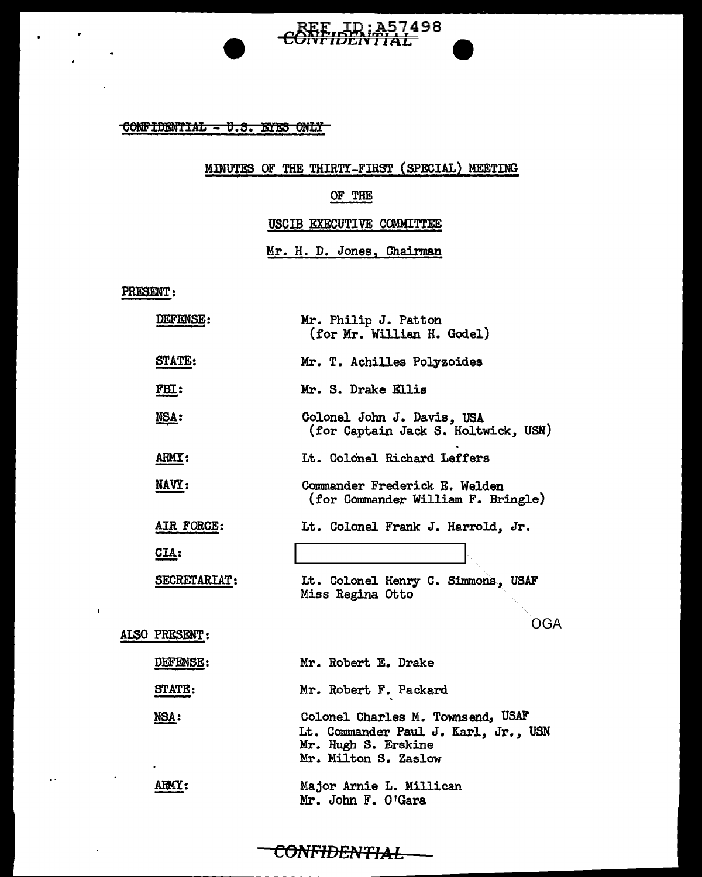## CONFIDENTIAL - U.S. EYES ONLY

I

#### MINUTES OF THE THIRTY-FIRST (SPECIAL) MEETING

REE ID:A57498

### OF THE

#### USCIB EXECUTIVE COMMITTEE

Mr. H. D. Jones, Chairman

#### PRESENT:

 $\mathbf{1}$ 

 $\ddot{\phantom{0}}$ 

J.

y.

•

 $\bullet$ 

| <b>DEFENSE:</b>     | Mr. Philip J. Patton<br>(for Mr. Willian H. Godel)                                                                       |
|---------------------|--------------------------------------------------------------------------------------------------------------------------|
| <b>STATE:</b>       | Mr. T. Achilles Polyzoides                                                                                               |
| <u>FBI:</u>         | Mr. S. Drake Ellis                                                                                                       |
| <u>NSA:</u>         | Colonel John J. Davis, USA<br>(for Captain Jack S. Holtwick, USN)                                                        |
| ARMY:               | Lt. Colonel Richard Leffers                                                                                              |
| <u>NAVY:</u>        | Commander Frederick E. Welden<br>(for Commander William F. Bringle)                                                      |
| AIR FORCE:          | Lt. Colonel Frank J. Harrold, Jr.                                                                                        |
| $GLA$ :             |                                                                                                                          |
| <b>SECRETARIAT:</b> | It. Colonel Henry C. Simmons, USAF<br>Miss Regina Otto                                                                   |
| ALSO PRESENT:       | OGA                                                                                                                      |
|                     |                                                                                                                          |
| DEFENSE:            | Mr. Robert E. Drake                                                                                                      |
| STATE:              | Mr. Robert F. Packard                                                                                                    |
| <u>NSA:</u>         | Colonel Charles M. Townsend, USAF<br>Lt. Commander Paul J. Karl, Jr., USN<br>Mr. Hugh S. Erskine<br>Mr. Milton S. Zaslow |
| <b>ARMY:</b>        | Major Arnie L. Millican<br>Mr. John F. O'Gara                                                                            |

### CONFIDENTIAL